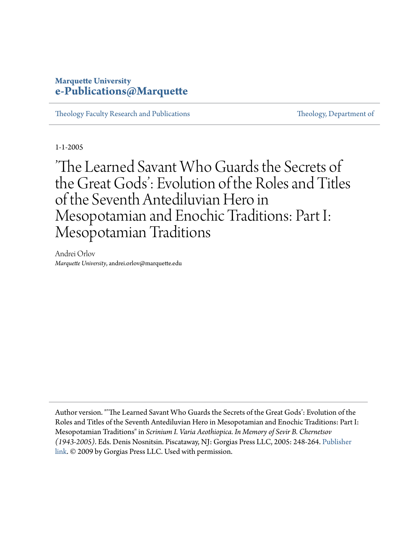### **Marquette University [e-Publications@Marquette](http://epublications.marquette.edu)**

[Theology Faculty Research and Publications](http://epublications.marquette.edu/theo_fac) [Theology, Department of](http://epublications.marquette.edu/Theology)

1-1-2005

'The Learned Savant Who Guards the Secrets of the Great Gods': Evolution of the Roles and Titles of the Seventh Antediluvian Hero in Mesopotamian and Enochic Traditions: Part I: Mesopotamian Traditions

Andrei Orlov *Marquette University*, andrei.orlov@marquette.edu

Author version. "'The Learned Savant Who Guards the Secrets of the Great Gods': Evolution of the Roles and Titles of the Seventh Antediluvian Hero in Mesopotamian and Enochic Traditions: Part I: Mesopotamian Traditions" in *Scrinium I. Varia Aeothiopica. In Memory of Sevir B. Chernetsov (1943-2005)*. Eds. Denis Nosnitsin. Piscataway, NJ: Gorgias Press LLC, 2005: 248-264. [Publisher](http://gorgiaspress.com/bookshop/default.aspx) [link](http://gorgiaspress.com/bookshop/default.aspx). © 2009 by Gorgias Press LLC. Used with permission.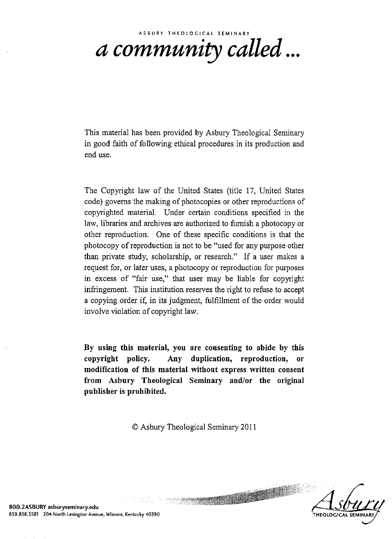## ASBURY THEOLOGICAL SEMINARY *a community called* **...**

This material has been provided by Asbury Theological Seminary in good faith of following ethical procedures in its production and end use.

The Copyright law of the United States (title 17, United States code) govems the making of photocopies or other reproductions of copyrighted material. Under certain conditions specified in the law, libraries and archives are authorized to fumish a photocopy or other reproduction. One of these specific conditions is that the photocopy of reproduction is not to be "used for any purpose other than private study, scholarship, or research." If a user makes a request for, or later uses, a photocopy or reproduction for purposes in excess of "fair use," that user may be liable for copyright infringement. This institution reserves the right to refuse to accept a copying order if, in its judgment, fulfillment of the order would involve violation of copyright law.

By using this material, you are consenting to abide by this copyright policy. Any duplication, reproduction, or modification of this material without express written consent from Asbury Theological Seminary and/or the original publisher is prohibited.

© Asbury Theological Seminary 2011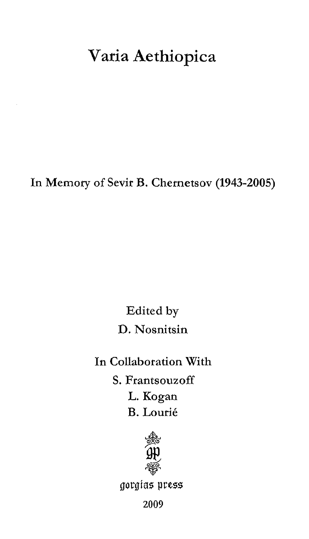# **Varia Aethiopica**

In Memory of Sevir B. Chernetsov (1943-2005)

Edited by D. Nosnitsin

In Collaboration With

S. Frantsouzoff

L. Kogan

B. Lourié



gorgias press

2009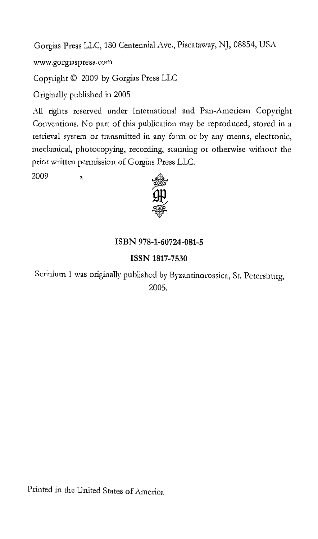Gorgias Press LLC, 180 Centennial Ave., Piscataway, NJ, 08854, USA

www.gorgiaspress.com

Copyright © 2009 by Gorgias Press LLC

Originally published in 2005

 $\mathbf{3}$ 

All rights reserved under International and Pan-American Copyright Conventions. No part of this publication may be reproduced, stored in a retrieval system or transmitted in any form or by any means, electronic, mechanical, photocopying, recording, scanning or otherwise without the prior written permission of Gorgias Press LLC.

2009



**ISBN 978-1-60724-081-5** 

**ISSN 1817-7530** 

Scrinium 1 was originally published by Byzantinorossica, St. Petersburg, 2005.

Printed in the United States of America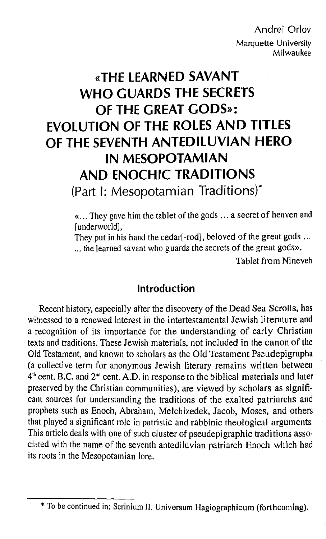#### Andrei Orlov Marquette University Milwaukee

## **«THE LEARNED SAVANT WHO GUARDS THE SECRETS OF THE GREAT GODS»: EVOLUTION OF THE ROLES AND TITLES OF THE SEVENTH ANTEDILUVIAN HERO IN MESOPOTAMIAN AND ENOCHIC TRADITIONS**  (Part **I:** Mesopotamian Traditions)\*

« ... They gave him the tablet of the gods ... a secret of heaven and [underworld],

They put in his hand the cedar<sup>[-rod]</sup>, beloved of the great gods ... ... the learned savant who guards the secrets of the great gods»,

Tablet from Nineveh

#### **Introduction**

Recent history, especially after the discovery of the Dead Sea Scrolls, has witnessed to a renewed interest in the intertestamental Jewish literature and a recognition of its importance for the understanding of early Christian texts and traditions. These Jewish materials, not included in the canon of the Old Testament, and known to scholars as the Old Testament Pseudepigrapha (a collective term for anonymous Jewish literary remains written between  $4<sup>th</sup>$  cent. B.C. and  $2<sup>nd</sup>$  cent. A.D. in response to the biblical materials and later preserved by the Christian communities), are viewed by scholars as significant sources for understanding the traditions of the exalted patriarchs and prophets such as Enoch, Abraham, Melchizedek, Jacob, Moses, and others that played a significant role in patristic and rabbinic theological arguments. This article deals with one of such cluster of pseudepigraphic traditions associated with the name of the seventh antediluvian patriarch Enoch which had its roots in the Mesopotamian lore.

<sup>\*</sup> To be continued in: Scrinium II. Universum Hagiographicum (forthcoming).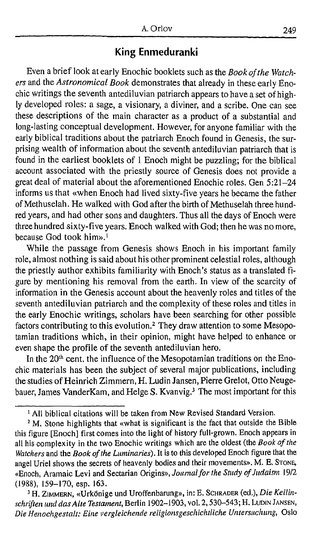#### **King Enmeduranki**

Even a brief look at early Enochic booklets such as the *Book of the Watchers* and the *Astronomical Book* demonstrates that already in these early Enochic writings the seventh antediluvian patriarch appears to have a set of high-Iy developed roles: a sage, a visionary, a diviner, and a scribe. One can see these descriptions of the main character as a product of a substantial and long-lasting conceptual development. However, for anyone familiar with the early biblical traditions about the patriarch Enoch found in Genesis, the surprising wealth of information about the seventh antediluvian patriarch that is found in the earliest booklets of 1 Enoch might be puzzling; for the biblical account associated with the priestly source of Genesis does not provide a great deal of material about the aforementioned Enochic roles. Gen 5:21-24 informs us that «when Enoch had lived sixty-five years he became the father of Methuselah. He walked with God after the birth of Methuselah three hundred years, and had other sons and daughters. Thus all the days of Enoch were three hundred sixty-five years. Enoch walked with God; then he was no more, because God took him».1

While the passage from Genesis shows Enoch in his important family role, almost nothing is said about his other prominent celestial roles, although the priestly author exhibits familiarity with Enoch's status as a translated figure by mentioning his removal from the earth. In view of the scarcity of information in the Genesis account about the heavenly roles and titles of the seventh antediluvian patriarch and the complexity of these roles and titles in the early Enochic writings, scholars have been searching for other possible factors contributing to this evolution.2 They draw attention to some Mesopotamian traditions which, in their opinion, might have helped to enhance or even shape the profile of the seventh antediluvian hero.

In the  $20<sup>th</sup>$  cent. the influence of the Mesopotamian traditions on the Enochic materials has been the subject of several major publications, including the studies of Heinrich Zimmern, H. Ludin Jansen, Pierre Grelot, Otto Neugebauer, James VanderKam, and Helge S. Kvanvig.<sup>3</sup> The most important for this

 $<sup>1</sup>$  All biblical citations will be taken from New Revised Standard Version.</sup>

<sup>&</sup>lt;sup>2</sup> M. Stone highlights that «what is significant is the fact that outside the Bible this figure [Enoch] first comes into the light of history full-grown. Enoch appears in all his complexity in the two Enochic writings which are the oldest (the *Book of the Watchers* and the *Book of the Luminaries).* It is to this developed Enoch figure that the angel Uriel shows the secrets of heavenly bodies and their movements». M. E. STONE, «Enoch, Aramaic Levi and Sectarian Origins», *Joumalfor the Study of Judaism 19/2*  (1988), 159-170, esp. 163.

<sup>&</sup>lt;sup>3</sup> H. ZIMMERN, «Urkönige und Uroffenbarung», in: E. SCHRADER (ed.), Die Keilin*schriftel1lmd das Alte Testament,* Berlin 1902-1903, vol. 2, 530-543; H. LUDIN JANSEN, *Die Hellochgestalt: Ebze vergleichellde religionsgeschichtliche UnterSllc/lImg,* Oslo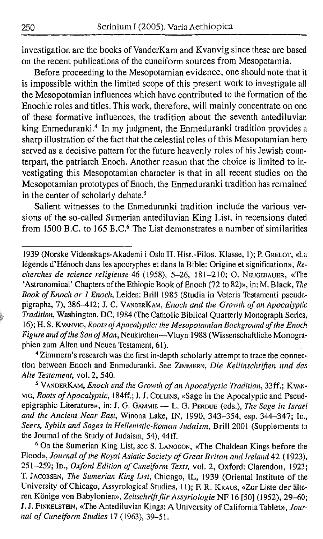investigation are the books of VanderKam and Kvanvig since these are based on the recent publications of the cuneiform sources from Mesopotamia.

Before proceeding to the Mesopotamian evidence, one should note that it is impossible within the limited scope of this present work to investigate all the Mesopotamian influences which have contributed to the formation of the Enochic roles and titles. This work, therefore, will mainly concentrate on one of these formative influences, the tradition about the seventh antediluvian king Enmeduranki.<sup>4</sup> In my judgment, the Enmeduranki tradition provides a sharp illustration of the fact that the celestial roles of this Mesopotamian hero served as a decisive pattern for the future heavenly roles of his Jewish counterpart, the patriarch Enoch. Another reason that the choice is limited to investigating this Mesopotamian character is that in all recent studies on the Mesopotamian prototypes of Enoch, the Enmeduranki tradition has remained in the center of scholarly debate.<sup>5</sup>

Salient witnesses to the Enmeduranki tradition include the various versions of the so-called Sumerian antediluvian King List, in recensions dated from 1500 B.C. to 165 B.C. $^6$  The List demonstrates a number of similarities

4 Zimmern's research was the first in-depth scholarly attempt to trace the connection between Enoch and Enmeduranki. See ZIMMERN, *Die Keilinschriften und das Alte Testament,* vol. 2, 540.

*S* VANDERKAM, *Enoch and the Growth of an Apocalyptic Tradition,* 33ff.; KVAN-VIG, *Roots of Apocalyptic,* 184ff.; 1. J. COLLINS, «Sage in the Apocalyptic and Pseudepigraphic Literature», in: 1. O. GAMMIE - L. G. PERDUE (eds.), *The Sage in Israel alld the Ancient Near East,* Winona Lake, IN, 1990, 343-354, esp. 344-347; 10., *Seers, Sybils and Sages in Hellenistic-Roman Judaism,* Brill 2001 (Supplements to the Journal of the Study of Judaism, 54), 44ff.

6 On the Sumerian King List, see S. LANGDON, «The Chaldean Kings before the Flood», *Journal of the Royal Asiatic Society of Great Britan and Ireland* 42 (1923), 251-259; ID., *Oxford Edition of Cuneiform Texts,* vol. 2, Oxford: Clarendon, 1923; T. JACOBSEN, *The Sumerian King List,* Chicago, IL, 1939 (Oriental Institute of the University of Chicago, Assyrological Studies, 11); F. R. KRAUS, «Zur Liste der älteren Konige von Babylonien», *Zeitschriftfar Assyriologie* NF 16 [50] (1952), 29-60; J. J. FINKELSTEIN, «The Antediluvian Kings: A University of California Tablet», *Journal of Cuneiform Studies* 17 (1963), 39-51.

<sup>1939 (</sup>Norske Videnskaps-Akademi i Oslo II. Hist.-Filos. Klasse, 1); P. GRELOT, «La legende d'Henoch dans les apocryphes et dans la Bible: Origine et signification», *Recherches de science religieuse* 46 (1958), 5-26, 181-210; O. NEUGEBAUER, «The 'Astronomical' Chapters of the Ethiopic Book of Enoch (72 to 82)», in: M. Black, *The Book of Enoch or* 1 *Enoch,* Leiden: Brill 1985 (Studia in Veteris Testamenti pseudepigrapha, 7), 386-412; J. C. VANDERKAM, *Enoch and the Growth of an Apocalyptic Tradition,* Washington, DC, 1984 (The Catholic Bibl ical Quarterly Monograph Serles, 16); H. S. KVANVIO, *Roots of Apocalyptic: the Mesopotamian Background of the Enoch Figure and of the Son of Man,* Neukirchen-Vluyn 1988 (Wissenschaftliche Monographien zum Alten und Neuen Testament, 61).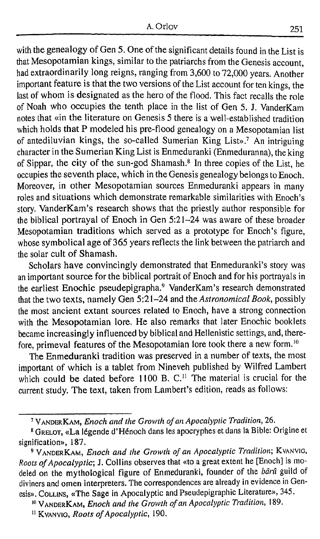with the genealogy of Gen 5. One of the significant details found in the List is that Mesopotamian kings, similar to the patriarchs from the Genesis account had extraordinarily long reigns, ranging from 3,600 to 72,000 years. Anothe; important feature is that the two versions of the List account for ten kings, the last of whom is designated as the hero of the flood. This fact recalls the role of Noah who occupies the tenth place in the list of Oen 5. 1. VanderKam notes that «in the literature on Genesis 5 there is a well-established tradition which holds that P modeled his pre-flood genealogy on a Mesopotamian list of antediluvian kings, the so-called Sumerian King List».<sup>7</sup> An intriguing character in the Sumerian King List is Enmeduranki (Enmeduranna), the king of Sippar, the city of the sun-god Shamash.8 In three copies of the List, he occupies the seventh place, which in the Genesis genealogy belongs to Enoch. Moreover, in other Mesopotamian sources Enmeduranki appears in many roles and situations which demonstrate remarkable similarities with Enoch's story. VanderKam's research shows that the priestly author responsible for the biblical portrayal of Enoch in Gen 5:21-24 was aware of these broader Mesopotamian traditions which served as a prototype for Enoch's figure, whose symbolical age of 365 years reflects the link between the patriarch and the solar cult of Shamash.

Scholars have convincingly demonstrated that Enmeduranki's story was an important source for the biblical portrait of Enoch and for his portrayals in the earliest Enochic pseudepigrapha.<sup>9</sup> VanderKam's research demonstrated that the two texts, namely Gen 5:21-24 and the *Astronomical Book,* possibly the most ancient extant sources related to Enoch, have a strong connection with the Mesopotamian lore. He also remarks that later Enochic booklets became increasingly influenced by biblical and Hellenistic settings, and, therefore, primeval features of the Mesopotamian lore took there a new form. <sup>10</sup>

The Enmeduranki tradition was preserved in a number of texts, the most important of which is a tablet from Nineveh published by Wilfred Lambert which could be dated before 1100 B. C.<sup>11</sup> The material is crucial for the current study. The text, taken from Lambert's edition, reads as follows:

<sup>&</sup>lt;sup>7</sup> VANDERKAM, *Enoch and the Growth of an Apocalyptic Tradition*, 26.

<sup>8</sup> GRELOT, «La legende d'Henoch dans les apocryphes et dans la Bible: Origine et signification», 187.

<sup>&</sup>lt;sup>9</sup> VANDERKAM, *Enoch and the Growth of an Apocalyptic Tradition*; KVANVIG, *Roots of Apocalyptic;* J. Collins observes that «to a great extent he [Enoch] is modeled on the mythological figure of Enmeduranki, founder of the *biira* guild of diviners and omen interpreters. The correspondences are already in evidence in Genesis». CoLLINS, «The Sage in Apocalyptic and Pseudepigraphic Literature», 345.

<sup>&</sup>lt;sup>10</sup> VANDERKAM, *Enoch and the Growth of an Apocalyptic Tradition*, 189.

II KVANVIO, *Roofs of Apocalyptic, 190.*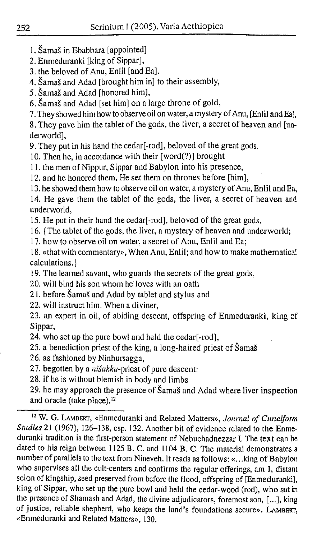- 2. Enmeduranki [king of Sippar],
- 3. the beloved of Anu, Enlil [and Ea].
- 4. Samas and Adad [brought him in] to their assembly,
- 5. Samas and Adad [honored him],
- 6. Samas and Adad [set him] on a large throne of gold,
- 7. They showed him how to observe oil on water, a mystery of Anu, [BnliI and Ea],

8. They gave him the tablet of the gods, the liver, a secret of heaven and [underworld],

9. They put in his hand the cedar[-rod], beloved of the great gods.

10. Then he, in accordance with their [word(?)] brought

11. the men of Nippur, Sippar and Babylon into his presence,

12. and he honored them. He set them on thrones before [him],

13. he showed them how to observe oil on water, a mystery of Anu, Enlil and Ea,

14. He gave them the tablet of the gods, the liver, a secret of heaven and underworld,

15. He put in their hand the cedar[ -rod], beloved of the great gods.

16. (The tablet of the gods, the liver, a mystery of heaven and underworld;

17. how to observe oil on water, a secret of Anu, Enlil and Ea;

18. «that with commentary», When Anu, Enlil; and how to make mathematical calculations. )

19. The learned savant, who guards the secrets of the great gods,

20. will bind his son whom he loves with an oath

21. before Samas and Adad by tablet and stylus and

22. will instruct him. When a diviner,

23. an expert in oil, of abiding descent, offspring of Enmeduranki, king of Sippar,

24. who set up the pure bowl and held the cedar[-rod],

25. a benediction priest of the king, a long-haired priest of Samas

26. as fashioned by Ninhursagga,

27. begotten by a *nisakku-priest* of pure descent:

28. if he is without blemish in body and limbs

29. he may approach the presence of Samas and Adad where liver inspection and oracle (take place).<sup>12</sup>

<sup>12</sup>W. G. LAMBERT, «Enmeduranki and Related Matters», *Journal of Cuneiform Studies* 21 (1967), 126-138, esp. 132. Another bit of evidence related to the Enmeduranki tradition is the first-person statement of Nebuchadnezzar I. The text can be dated to his reign between 1125 B. C. and 1104 B. C. The material demonstrates a number of parallels to the text from Nineveh. It reads as follows: « ... king of Babylon who supervises all the cult-centers and confirms the regular offerings, am **I,** distant scion of kingship, seed preserved from before the flood, offspring of [Enmeduranki], king of Sippar, who set up the pure bowl and held the cedar-wood (rod), who sat in the presence of Shamash and Adad, the divine adjudicators, foremost son, [...], king of justice, reliable shepherd, who keeps the land's foundations secure». LAMBERT, «Enmeduranki and Related Matters», 130.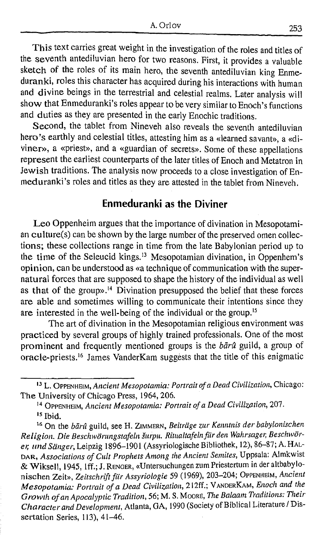This text carries great weight in the investigation of the roles and titles of the seventh antediluvian hero for two reasons. First, it provides a valuable sketch of the roles of its main hero, the seventh antediluvian king Enmeduranki, roles this character has acquired during his interactions with human and divine beings in the terrestrial and celestial realms. Later analysis will show that Enmeduranki's roles appear to be very similar to Enoch's functions and duties as they are presented in the early Enochic traditions.

Second, the tablet from Nineveh also reveals the seventh antediluvian hero's earthly and celestial titles, attesting him as a «learned savant», a «diviner», a «priest», and a «guardian of secrets». Some of these appellations represent the earliest counterparts of the later titles of Enoch and Metatron in Jewish traditions. The analysis now proceeds to a close investigation of Enmeduranki's roles and titles as they are attested in the tablet from Nineveh.

#### **Enmeduranki as the Diviner**

Leo Oppenheim argues that the importance of divination in Mesopotamian culture(s) can be shown by the large number of the preserved omen collections; these collections range in time from the late Babylonian period up to the time of the Seleucid kings.<sup>13</sup> Mesopotamian divination, in Oppenhem's opinion, can be understood as «a technique of communication with the supernatural forces that are supposed to shape the history of the individual as well as that of the group».<sup>14</sup> Divination presupposed the belief that these forces are able and sometimes willing to communicate their intentions since they are interested in the well-being of the individual or the group.<sup>15</sup>

The art of divination in the Mesopotamian religious environment was practiced by several groups of highly trained professionals. One of the most prominent and frequently mentioned groups is the *barû* guild, a group of oracie-priests.16 James VanderKam suggests that the title of this enigmatic

<sup>13</sup>L. OPPENHEIM, *Ancient Mesopotamia: Portrait of a Dead Civilization,* Chicago: The University of Chicago Press, 1964, 206.

<sup>14</sup> OPPENHEIM, *Ancient Mesopotamia: Portrait of a Dead Civilization, 207.*  <sup>15</sup>Ibid.

<sup>&</sup>lt;sup>16</sup> On the *bārû* guild, see H. ZIMMERN, Beiträge zur Kenntnis der babylonischen Religion. Die Beschwörungstafeln šurpu. Ritualtafeln für den Wahrsager, Beschwörer, und Sänger, Leipzig 1896-1901 (Assyriologische Bibliothek, 12), 86-87; A. HAL-DAR, *Associations of Cult Prophets Among the Ancient Semites,* Uppsala: Almkwist & Wiksell, 1945, Iff.; J. RENGER, «Untersuchungen zum Priestertum in der altbabylonischen Zeit», *Ze itsch rift far Assyriologie* 59 (1969), 203-204; OPPENHEIM, *Ancient Mesopotamia: Portrait ofa Dead Civilization,* 212ff.; VANDERKAM, *Enoch and the Growth of an Apocalyptic Tradition,* 56; M. S. MOORE, *The Balaam Traditions: Their Character and Development,* Atlanta, GA, 1990 (Society of Biblical Literature */* Dissertation Series, 113), 41-46.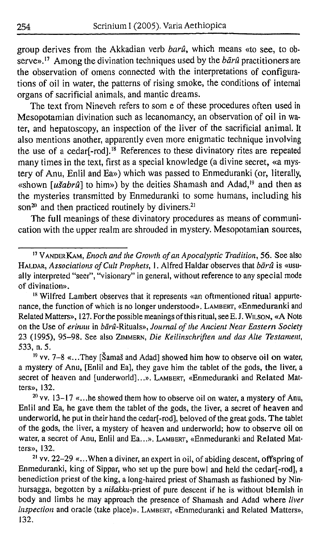group derives from the Akkadian verb  $bar\{u}$ , which means «to see, to observe».<sup>17</sup> Among the divination techniques used by the  $b\bar{a}r\hat{u}$  practitioners are the observation of omens connected with the interpretations of configurations of oil in water, the patterns of rising smoke, the conditions of internal organs of sacrificial animals, and mantic dreams.

The text from Nineveh refers to som e of these procedures often used in Mesopotamian divination such as lecanomancy, an observation of oil in water, and hepatoscopy, an inspection of the liver of the sacrificial animal. It also mentions another, apparently even more enigmatic technique involving the use of a cedar<sup>[-rod].<sup>18</sup> References to these divinatory rites are repeated</sup> many times in the text, first as a special knowledge (a divine secret, «a mystery of Anu, Enlil and Ea») which was passed to Enmeduranki (or, literally, «shown [ $u\check{s}abr\hat{u}$ ] to him») by the deities Shamash and Adad,<sup>19</sup> and then as the mysteries transmitted by Enmeduranki to some humans, including his son<sup>20</sup> and then practiced routinely by diviners.<sup>21</sup>

The full meanings of these divinatory procedures as means of communication with the upper realm are shrouded in mystery. Mesopotamian sources,

<sup>17</sup>V ANDERKAM, *Enoch and the Growth of an Apocalyptic Tradition,* 56. See also HALDAR, Associations of Cult Prophets, 1. Alfred Haldar observes that  $b\bar{a}r\hat{u}$  is «usually interpreted "seer", "visionary" in general, without reference to any special mode of divination».

<sup>18</sup> Wilfred Lambert observes that it represents «an oftmentioned ritual appurtenance, the function of which is no longer understood». LAMBERT, «Enmeduranki and Related Matters», 127. For the possible meanings of this ritual, see E.J. WILSON, «A Note on the Use of erinnu in bārû-Rituals», *Journal of the Ancient Near Eastern Society* 23 (1995), 95-98. See also ZIMMERN, *Die Keilinschriften und das Alte Testament*, 533, n. 5.

 $19$  vv. 7-8 «... They [Šamaš and Adad] showed him how to observe oil on water, a mystery of Anu, [Enlil and Ea], they gave him the tablet of the gods, the liver, a secret of heaven and [underworld]...». LAMBERT, «Enmeduranki and Related Matters», 132.

 $20$  vv. 13-17 «... he showed them how to observe oil on water, a mystery of Anu, Enlil and Ea, he gave them the tablet of the gods, the liver, a secret of heaven and underworld, he put in their hand the cedar[-rod], beloved of the great gods. The tablet of the gods, the liver, a mystery of heaven and underworld; how to observe oil on water, a secret of Anu, Enlil and Ea...». LAMBERT, «Enmeduranki and Related Matters», 132.

<sup>21</sup>vv. 22-29 « ... When a diviner, an expert in oil, of abiding descent, offspring of Enmeduranki, king of Sippar, who set up the pure bowl and held the cedar[-rod], a benediction priest of the king, a long-haired priest of Shamash as fashioned by Ninhursagga, begotten by a *niSakktt-priest* of pure descent if he is without blemish in body and limbs he may approach the presence of Shamash and Adad where *liver inspection* and oracle (take place)». LAMBERT, «Enmeduranki and Related Matters», 132.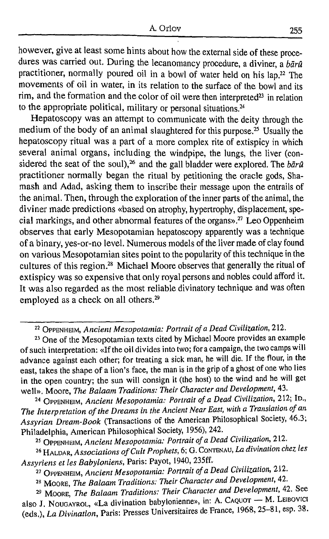however, give at least some hints about how the external side of these procedures was carried out. During the lecanomancy procedure, a diviner, a bara practitioner, normally poured oil in a bowl of water held on his lap.<sup>22</sup> The movements of oil in water, in its relation to the surface of the bowl and its rim, and the formation and the color of oil were then interpreted $23$  in relation to the appropriate political, military or personal situations.<sup>24</sup>

Hepatoscopy was an attempt to communicate with the deity through the medium of the body of an animal slaughtered for this purpose.<sup>25</sup> Usually the hepatoscopy ritual was a part of a more complex rite of extispicy in which several animal organs, including the windpipe, the lungs, the liver (considered the seat of the soul),<sup>26</sup> and the gall bladder were explored. The  $b\bar{a}r\hat{u}$ practitioner normally began the ritual by petitioning the oracle gods, Shamash and Adad, asking them to inscribe their message upon the entrails of the animal. Then, through the exploration of the inner parts of the animal, the diviner made predictions «based on atrophy, hypertrophy, displacement, special markings, and other abnormal features of the organs».27 Leo Oppenheim observes that early Mesopotamian hepatoscopy apparently was a technique of a binary, yes-or-no level. Numerous models of the liver made of clay found on various Mesopotamian sites point to the popularity of this technique in the cultures of this region.28 Michael Moore observes that generally the ritual of extispicy was so expensive that only royal persons and nobles could afford it. It was also regarded as the most reliable divinatory technique and was often employed as a check on all others.<sup>29</sup>

<sup>22</sup> OPPENHEIM, *Ancient Mesopotamia: Portrait of a Dead Civilization, 212.* 

<sup>&</sup>lt;sup>23</sup> One of the Mesopotamian texts cited by Michael Moore provides an example of such interpretation: «If the oil divides into two; for a campaign, the two camps will advance against each other; for treating a sick man, he will die. If the flour, in the east, takes the shape of a lion's face, the man is in the grip of a ghost of one who lies in the open country; the sun will consign it (the host) to the wind and he will get well». Moore, *The Balaam Traditions: Their Character and Development, 43.* 

<sup>24</sup> OPPENHEIM, *Ancient Mesopotamia: Portrait of a Dead Civilization,* 212; 10., The Interpretation of the Dreams in the Ancient Near East, with a Translation of an *Assyrian Dream-Book* (Transactions of the American Philosophical Society, 46.3; Philadelphia, American Philosophical Society, 1956), 242.

<sup>25</sup> OPPENHEIM, *Ancient Mesopotamia: Portrait of a Dead Civilization, 212.* 

<sup>26</sup>HALDAR, *Associations of Cult Prophets,* 6; G. CONTENAU, *La divination chez les*  Assyriens et les Babyloniens, Paris: Payot, 1940, 235ff.

<sup>&</sup>lt;sup>27</sup> OPPENHEIM, *Ancient Mesopotamia: Portrait of a Dead Civilization*, 212.

<sup>28</sup> MOORE, *The Balaam Traditions: Their Character and Development, 42.* 

<sup>29</sup> MOORE, *The Balaam Traditions: Their Character and Development,* 42. See also J. Nougayrol, «La divination babylonienne», in: A. Caquot - M. LEIBOVICI (eds.), *La Divination,* Paris: Presses Universitaires de France, 1968,25-81, esp. 38.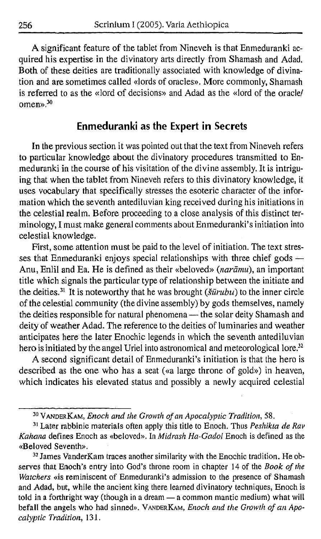A significant feature of the tablet from Nineveh is that Enmeduranki acquired his expertise in the divinatory arts directly from Shamash and Adad. Both of these deities are traditionally associated with knowledge of divination and are sometimes called «lords of oracles». More commonly, Shamash is referred to as the «lord of decisions» and Adad as the «lord of the oracle/ omen».<sup>30</sup>

#### **Enmeduranki as the Expert in** Secrets

In the previous section it was pointed out that the text from Nineveh refers to particular knowledge about the divinatory procedures transmitted to Enmeduranki in the course of his visitation of the divine assembly. It is intriguing that when the tablet from Nineveh refers to this divinatory knowledge, it uses vocabulary that specifically stresses the esoteric character of the information which the seventh antediluvian king received during his initiations in the celestial realm. Before proceeding to a close analysis of this distinct terminology, I must make general comments about Enmeduranki's initiation into celestial knowledge.

First, some attention must be paid to the level of initiation. The text stresses that Enmeduranki enjoys special relationships with three chief gods -Anu, Enlil and Ea. He is defined as their «beloved» (narāmu), an important title which signals the particular type of relationship between the initiate and the deities.<sup>31</sup> It is noteworthy that he was brought ( $\ddot{s}\ddot{u}rubu$ ) to the inner circle of the celestial community (the divine assembly) by gods themselves, namely the deities responsible for natural phenomena - the solar deity Shamash and deity of weather Adad. The reference to the deities of luminaries and weather anticipates here the later Enochic legends in which the seventh antediluvian hero is initiated by the angel Uriel into astronomical and meteorological lore.<sup>32</sup>

A second significant detail of Enmeduranki's initiation is that the hero is described as the one who has a seat («a large throne of gold») in heaven, which indicates his elevated status and possibly a newly acquired celestial

<sup>30</sup>VANDERKAM, *Enoch and the Growth of an Apocalyptic Tradition, 58.* 

<sup>31</sup>Later rabbinic materials often apply this title to Enoch. Thus *Peshikta de* Rap *Kahana* defines Enoch as «beloved». In *Midrash Ha-Gadol* Enoch is defined as the «Beloved Seventh».

<sup>32</sup> James VanderKam traces another similarity with the Enochic tradition. He observes that Enoch's entry into God's throne room in chapter 14 of the *Book of the Watchers* «is reminiscent of Enmeduranki's admission to the presence of Shamash and Adad, but, while the ancient king there learned divinatory techniques, Enoch is told in a forthright way (though in a dream - a common mantic medium) what will befall the angels who had sinned». VANDERKAM, *Enoch and the Growth of an Apocalyptic Tradition,* 131.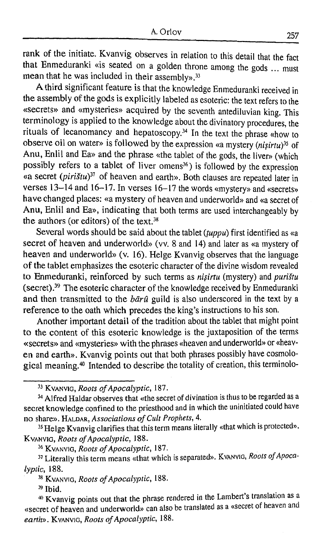rank of the initiate. Kvanvig observes in relation to this detail that the fact that Enmeduranki «is seated on a golden throne among the gods ... must mean that he was included in their assembly».<sup>33</sup>

A third significant feature is that the knowledge Enmeduranki received in the assembly of the gods is explicitly labeled as esoteric: the text refers to the «secrets» and «mysteries» acquired by the seventh antediluvian king. This terminology is applied to the knowledge about the divinatory procedures, the rituals of lecanomancy and hepatoscopy:14 In the text the phrase «how to observe oil on water» is followed by the expression «a mystery  $(nisirtu)^{35}$  of Anu, Enlil and Ea» and the phrase «the tablet of the gods, the liver» (which possibly refers to a tablet of liver omens<sup>36</sup>) is followed by the expression «a secret (*pirištu*) $37$  of heaven and earth». Both clauses are repeated later in verses 13-14 and 16-17. In verses 16-17 the words «mystery» and «secrets» have changed places: «a mystery of heaven and underworld» and «a secret of Anu, Enlil and Ea», indicating that both terms are used interchangeably by the authors (or editors) of the text. $38$ 

Several words should be said about the tablet  $(\mu p \mu)$  first identified as «a secret of heaven and underworld» (vv. 8 and 14) and later as «a mystery of heaven and underworld» (v. 16). Helge Kvanvig observes that the language of the tablet emphasizes the esoteric character of the divine wisdom revealed to Enmeduranki, reinforced by such terms as nisirtu (mystery) and purištu (secret).39 The esoteric character of the knowledge received by Enmeduranki and then transmitted to the  $b\bar{a}r\hat{u}$  guild is also underscored in the text by a reference to the oath which precedes the king's instructions to his son.

Another important detail of the tradition about the tablet that might point to the content of this esoteric knowledge is the juxtaposition of the terms «secrets» and «mysteries» with the phrases «heaven and underworld» or «heaven and earth». Kvanvig points out that both phrases possibly have cosmological meaning.<sup>40</sup> Intended to describe the totality of creation, this terminolo-

33 KVANVIG, *Roots of Apocalyptic,* 187.

36 KVANVIG, *Roots of Apocalyptic,* 187.

<sup>&</sup>lt;sup>34</sup> Alfred Haldar observes that «the secret of divination is thus to be regarded as a secret knowledge confined to the priesthood and in which the uninitiated could have no share». HALDAR, *Associations of Cult Prophets, 4.* 

<sup>&</sup>lt;sup>35</sup> Helge Kvanvig clarifies that this term means literally «that which is protected». KVANVIG. *Roots of Apocalyptic,* 188.

<sup>:17</sup> Literally this term means «that which is separated». KVANVIG, *Roots of Apocalyptic, 188.* 

<sup>3</sup>S KVANVIG, *Roots of Apocalyptic,* 188.

 $<sup>39</sup>$  Ibid.<br><sup>40</sup> Kvanvig points out that the phrase rendered in the Lambert's translation as a</sup> «secret of heaven and underworld» can also be translated as a «secret of heaven and *earth».* KVANVIG, *Roots of Apocalyptic,* 188.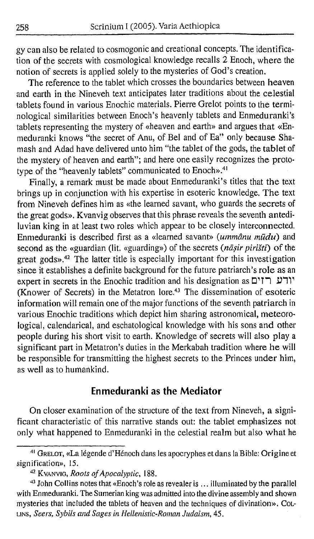gy can also be related to cosmogonic and creational concepts. The identification of the secrets with cosmological knowledge recalls 2 Enoch, where the notion of secrets is applied solely to the mysteries of God's creation.

The reference to the tablet which crosses the boundaries between heaven and earth **in** the Nineveh text anticipates later traditions about the celestial tablets found in various Enochic materials. Pierre Grelot points to the terminological similarities between Enoch's heavenly tablets and Enmeduranki's tablets representing the mystery of «heaven and earth» and argues that «Enmeduranki knows "the secret of Anu, of Bel and of Ea" only because Shamash and Adad have delivered unto him "the tablet of the gods, the tablet of the mystery of heaven and earth"; and here one easily recognizes the prototype of the "heavenly tablets" communicated to Enoch».<sup>41</sup>

Finally, a remark must be made about Enmeduranki's titles that the text brings up in conjunction with his expertise in esoteric knowledge. The text from Nineveh defines him as «the learned savant, who guards the secrets of the great gods». Kvanvig observes that this phrase reveals the seventh antediluvian king in at least two roles which appear to be closely interconnected. Enmeduranki is described first as a «learned savant» (ummânu mūdu) and second as the «guardian (lit. «guarding») of the secrets (*nāșir pirišti*) of the great gods».<sup>42</sup> The latter title is especially important for this investigation since it establishes a definite background for the future patriarch's role as an expert in secrets in the Enochic tradition and his designation as **tl'Ti l:I,,'**  (Knower of Secrets) in the Metatron lore.43 The dissemination of esoteric information will remain one of the major functions of the seventh patriarch in various Enochic traditions which depict him sharing astronomical, meteorological, calendarical, and eschatological knowledge with his sons and other people during his short visit to earth. Knowledge of secrets will also playa significant part in Metatron's duties in the Merkabah tradition where he will be responsible for transmitting the highest secrets to the Princes under him, as well as to humankind.

#### **Enmeduranki as the Mediator**

On closer examination of the structure of the text from Nineveh, a significant characteristic of this narrative stands out: the tablet emphasizes not only what happened to Enmeduranki in the celestial realm but also what he

<sup>&</sup>lt;sup>41</sup> GRELOT, «La légende d'Hénoch dans les apocryphes et dans la Bible: Origine et signification», 15.

<sup>42</sup> K VANVIG, *Roots of Apocalyptic, 188.* 

<sup>&</sup>lt;sup>43</sup> John Collins notes that «Enoch's role as revealer is ... illuminated by the parallel with Enmeduranki. The Sumerian king was admitted into the divine assembly and shown mysteries that included the tablets of heaven and the techniques of divination». COL-LINS, *Seers, Sybi/s and Sages in Hellenistic-Roman Judaism, 45.*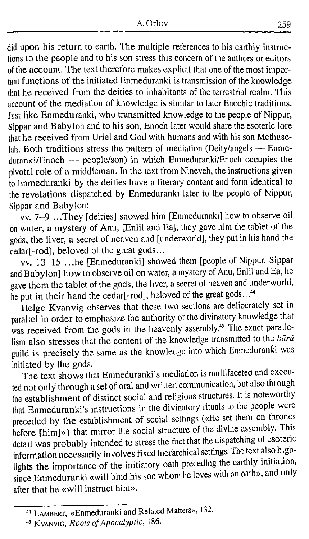did upon his return to earth. The multiple references to his earthly instructions to the people and to his son stress this concern of the authors or editors of the account. The text therefore makes explicit that one of the most important functions of the initiated Enmeduranki is transmission of the knowledge that he received from the deities to inhabitants of the terrestrial realm. This account of the mediation of knowledge is similar to later Enochic traditions. Just like Enmeduranki, who transmitted knowledge to the people of Nippur, Sippar and Babylon and to his son, Enoch later would share the esoteric lore that he received from Uriel and God with humans and with his son Methuselah. Both traditions stress the pattern of mediation (Deity/angels - Enmeduranki/Enoch — people/son) in which Enmeduranki/Enoch occupies the pivotal role of a middleman. In the text from Nineveh, the instructions given to Enmeduranki by the deities have a literary content and form identical to the revelations dispatched by Enmeduranki later to the people of Nippur, Sippar and Babylon:

vv. 7-9 ... They [deities] showed him [Enmeduranki] how to observe oil on water, a mystery of Anu, [Enlil and Ea], they gave him the tablet of the gods, the liver, a secret of heaven and [underworld], they put in his hand the cedar[-rod], beloved of the great gods ...

vv. 13-15 ... he [Enmeduranki] showed them [people of Nippur, Sippar and Babylon] how to observe oil on water, a mystery of Anu, Enlil and Ea, he gave them the tablet of the gods, the liver, a secret of heaven and underworld, he put in their hand the cedar[-rod], beloved of the great gods...<sup>44</sup>

Helge Kvanvig observes that these two sections are deliberately set in parallel in order to emphasize the authority of the divinatory knowledge that was received from the gods in the heavenly assembly.<sup>45</sup> The exact parallelism also stresses that the content of the knowledge transmitted to the *biiru*  guild is precisely the same as the knowledge into which Enmeduranki was initiated by the gods.

The text shows that Enmeduranki's mediation is multifaceted and executed not only through a set of oral and written communication, but also through the establishment of distinct social and religious structures. It is noteworthy that Enmeduranki's instructions in the divinatory rituals to the people were preceded by the establishment of social settings (<<He set them on thrones before [him]») that mirror the social structure of the divine assembly. This detail was probably intended to stress the fact that the dispatching of esoteric information necessarily involves fixed hierarchical settings. The text also highlights the importance of the initiatory oath preceding the earthly initiation, since Enmeduranki «will bind his son whom he loves with an oath», and only after that he «will instruct him».

<sup>44</sup> LAMBERT, «Enmeduranki and Related Matters», 132.

<sup>45</sup> KVANV1G, *Roots of ApocalyptiC, 186.*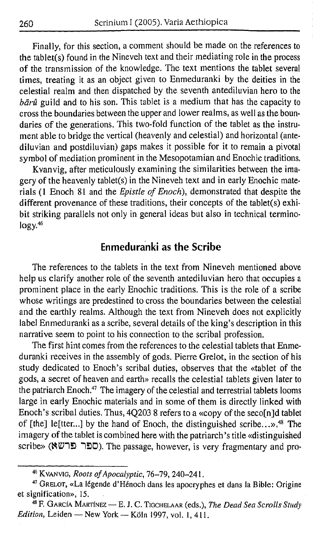Finally, for this section, a comment should be made on the references to the tablet(s) found in the Nineveh text and their mediating role in the process of the transmission of the knowledge. The text mentions the tablet several times, treating it as an object given to Enmeduranki by the deities in the celestial realm and then dispatched by the seventh antediluvian hero to the *baru* guild and to his son. This tablet is a medium that has the capacity to cross the boundaries between the upper and lower realms, as well as the boundaries of the generations. This two-fold function of the tablet as the instrument able to bridge the vertical (heavenly and celestial) and horizontal (antediluvian and postdiluvian) gaps makes it possible for it to remain a pivotal symbol of mediation prominent in the Mesopotamian and Enochic traditions.

Kvanvig, after meticulously examining the similarities between the imagery of the heavenly tablet(s) in the Nineveh text and in early Enochic materials (1 Enoch 81 and the *Epistle of Enoch),* demonstrated that despite the different provenance of these traditions, their concepts of the tablet(s) exhibit striking parallels not only in general ideas but also in technical terminology.46

#### **Enmeduranki as the Scribe**

The references to the tablets in the text from Nineveh mentioned above help us clarify another role of the seventh antediluvian hero that occupies a prominent place in the early Enochic traditions. This is the role of a scribe whose writings are predestined to cross the boundaries between the celestial and the earthly realms. Although the text from Nineveh does not explicitly label Enmeduranki as a scribe, several details of the king's description in this narrative seem to point to his connection to the scribal profession.

The first hint comes from the references to the celestial tablets that Enmeduranki receives in the assembly of gods. Pierre Grelot, in the section of his study dedicated to Enoch's scribal duties, observes that the «tablet of the gods, a secret of heaven and earth» recalls the celestial tablets given later to the patriarch Enoch.<sup>47</sup> The imagery of the celestial and terrestrial tablets looms large in early Enochic materials and in some of them is directly linked with Enoch's scribal duties. Thus, 4Q203 8 refers to a «copy of the seco[n]d tablet of [the] le[tter...] by the hand of Enoch, the distinguished scribe...», $48$  The imagery of the tablet is combined here with the patriarch's title «distinguished scribe» (לפר פרשא). The passage, however, is very fragmentary and pro-

<sup>46</sup> KVANVIO, *Roots of Apocalyptic,* 76-79, 240-241.

<sup>47</sup> GRELOT, «La legende d'Henoch dans les apocryphes et dans la Bible: Origine et signification», 15.

<sup>48</sup>F. GARciA MARTfNEZ - E, J. C. TIOCHELAAR (eds.), *The Dead Sea Scrolls Study Edition, Leiden* - New York - Köln 1997, vol. 1, 411.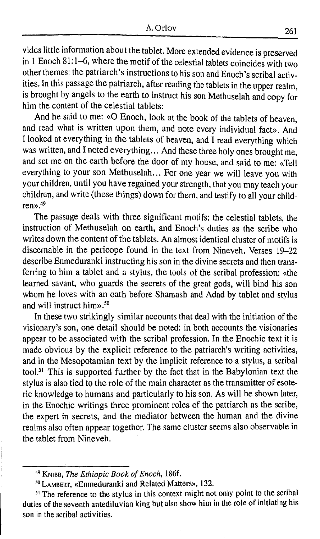vides little information about the tablet. More extended evidence is preserved in 1 Enoch 81:1-6, where the motif of the celestial tablets coincides with two other themes: the patriarch's instructions to his son and Enoch's scribal activities. In this passage the patriarch, after reading the tablets in the upper realm, is brought by angels to the earth to instruct his son Methuselah and copy for him the content of the celestial tablets.

And he said to me: «0 Enoch, look at the book of the tablets of heaven and read what is written upon them, and note every individual fact». And I looked at everything in the tablets of heaven, and I read everything which was written, and I noted everything... And these three holy ones brought me, and set me on the earth before the door of my house, and said to me: «Tell everything to your son Methuselah ... For one year we will leave you with your children, until you have regained your strength, that you may teach your children, and write (these things) down for them, and testify to all your children».49

The passage deals with three significant motifs: the celestial tablets, the instruction of Methuselah on earth, and Enoch's duties as the scribe who writes down the content of the tablets. An almost identical cluster of motifs is discernable in the pericope found in the text from Nineveh. Verses 19–22 describe Enmeduranki instructing his son in the divine secrets and then transferring to him a tablet and a stylus, the tools of the scribal profession: «the leamed savant, who guards the secrets of the great gods, will bind his son whom he loves with an oath before Shamash and Adad by tablet and stylus and will instruct him».50

In these two strikingly similar accounts that deal with the initiation of the visionary's son, one detail should be noted: in both accounts the visionaries appear to be associated with the scribal profession. In the Enochic text it is made obvious by the explicit reference to the patriarch's writing activities, and in the Mesopotamian text by the implicit reference to a stylus, a scribal tool.<sup>51</sup> This is supported further by the fact that in the Babylonian text the stylus is also tied to the role of the main character as the transmitter of esoteric knowledge to humans and particularly to his son. As will be shown later, in the Enochic writings three prominent roles of the patriarch as the scribe, the expert in secrets, and the mediator between the human and the divine realms also often appear together. The same cluster seems also observable in the tablet from Nineveh.

<sup>49</sup> KNlBB, *The Ethiopic Book of Enoch,* 186f.

<sup>50</sup> LAMBERT, «Enmeduranki and Related Matters», 132.

<sup>&</sup>lt;sup>51</sup> The reference to the stylus in this context might not only point to the scribal duties of the seventh antediluvian king but also show him in the role of initiating his son in the scribal activities.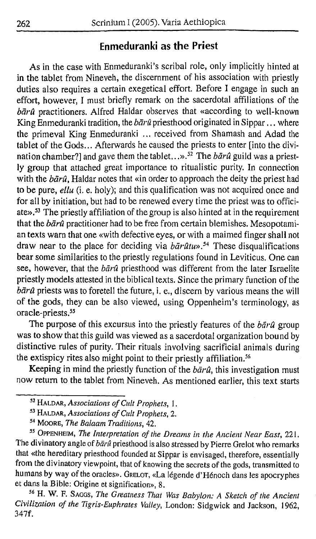#### **Enmeduranki as the Priest**

As in the case with Enmeduranki's scribal role, only implicitly hinted at in the tablet from Nineveh, the discernment of his association with priestly duties also requires a certain exegetical effort. Before I engage in such an effort, however, I must briefly remark on the sacerdotal affiliations of the bārû practitioners. Alfred Haldar observes that «according to well-known King Enmeduranki tradition, the *barû* priesthood originated in Sippar ... where the primeval King Enmeduranki ... received from Shamash and Adad the tablet of the Gods ... Afterwards he caused the priests to enter [into the divination chamber?] and gave them the tablet...».<sup>52</sup> The *bārû* guild was a priestly group that attached great importance to ritualistic purity. In connection with the *bara*, Haldar notes that «in order to approach the deity the priest had to be pure, *ellu* (i. e. holy); and this qualification was not acquired once and for all by initiation, but had to be renewed every time the priest was to officiate».<sup>53</sup> The priestly affiliation of the group is also hinted at in the requirement that the *bārû* practitioner had to be free from certain blemishes. Mesopotamian texts warn that one «with defective eyes, or with a maimed finger shall not draw near to the place for deciding via *barutu».54* These disqualifications bear some similarities to the priestly regulations found in Leviticus. One can see, however, that the *bārû* priesthood was different from the later Israelite priestly models attested in the biblical texts. Since the primary function of the *bārû* priests was to foretell the future, i. e., discern by various means the will of the gods, they can be also viewed, using Oppenheim's terminology, as oracle-priests.<sup>55</sup>

The purpose of this excursus into the priestly features of the *baru* group was to show that this guild was viewed as a sacerdotal organization bound by distinctive rules of purity. Their rituals involving sacrificial animals during the extispicy rites also might point to their priestly affiliation.<sup>56</sup>

Keeping in mind the priestly function of the *baru,* this investigation must now return to the tablet from Nineveh. As mentioned earlier, this text starts

56 H. W. F. SAGGS, *The Greatness That Was Babylon: A Sketch of the Ancient Civilization of the Tigris-Euphrates Valley,* London: Sidgwick and Jackson, 1962, 347f.

<sup>52</sup>HALDAR, *Associations of Cult Prophets, 1.* 

<sup>53</sup> HALDAR, *Associations of Cult Prophets, 2.* 

S4 MOORE, *The Balaam Traditions, 42.* 

*ss* OPPENHEIM, *The Interpretation of the Dreams in the Ancient Near East, 221.*  The divinatory angle of *barti* priesthood is also stressed by Pierre Grelot who remarks that «the hereditary priesthood founded at Sippar is envisaged, therefore, essentially from the divinatory viewpoint, that of knowing the secrets of the gods, transmitted to humans by way of the oracles». GRELOT, «La légende d'Hénoch dans les apocryphes et dans la Bible: Origine et signification», 8.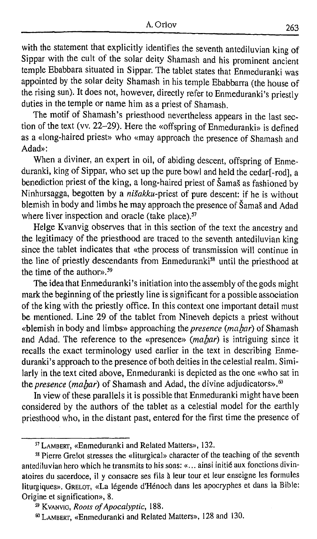with the statement that explicitly identifies the seventh antediluvian king of Sippar with the cult of the solar deity Shamash and his prominent ancient temple Ebabbara situated in Sippar. The tablet states that Enmeduranki was appointed by the solar deity Shamash in his temple Ebabbarra (the house of the rising sun). It does not, however, directly refer to Enmeduranki 's priestly duties in the temple or name him as a priest of Shamash.

The motif of Shamash's priesthood nevertheless appears in the last section of the text (vv. 22-29). Here the «offspring of Enmeduranki» is defined as a «long-haired priest» who «may approach the presence of Shamash and Adad»:

When a diviner, an expert in oil, of abiding descent, offspring of Enmeduranki, king of Sippar, who set up the pure bowl and held the cedar[-rod], a benediction priest of the king, a long-haired priest of Samas as fashioned by Ninhursagga, begotten by a nisakku-priest of pure descent: if he is without blemish in body and limbs he may approach the presence of Samas and Adad where liver inspection and oracle (take place). $57$ 

Helge Kvanvig observes that in this section of the text the ancestry and the legitimacy of the priesthood are traced to the seventh antediluvian king since the tablet indicates that «the process of transmission will continue in the line of priestly descendants from Enmeduranki<sup>58</sup> until the priesthood at the time of the author».59

The idea that Enmeduranki's initiation into the assembly of the gods might mark the beginning of the priestly line is significant for a possible association of the king with the priestly office. In this context one important detail must be mentioned. Line 29 of the tablet from Nineveh depicts a priest without «blemish in body and limbs» approaching the *presence* ( $mahar$ ) of Shamash and Adad. The reference to the «presence» (mahar) is intriguing since it recalls the exact terminology used earlier in the text in describing Enmeduranki's approach to the presence of both deities in the celestial realm. Similarly in the text cited above, Enmeduranki is depicted as the one «who sat in the presence (mahar) of Shamash and Adad, the divine adjudicators».<sup>60</sup>

In view of these parallels it is possible that Enmeduranki might have been considered by the authors of the tablet as a celestial model for the earthly priesthood who, in the distant past, entered for the first time the presence of

<sup>57</sup> LAMBERT, «Enmeduranki and Related Matters», 132.

<sup>&</sup>lt;sup>58</sup> Pierre Grelot stresses the «liturgical» character of the teaching of the seventh antediluvian hero which he transmits to his sons: « ... ainsi initie aux fonctions divinatoires du sacerdoce, iI y consacre ses fils a leur tour et leur enseigne les formules liturgiques». GRELOT, «La légende d'Hénoch dans les apocryphes et dans la Bible: Origine et signification», 8.

<sup>59</sup> KVANVIG, *Roots of Apocalyptic, 188.* 

<sup>60</sup> LAMBERT, «Enmeduranki and Related Matters», 128 and 130.